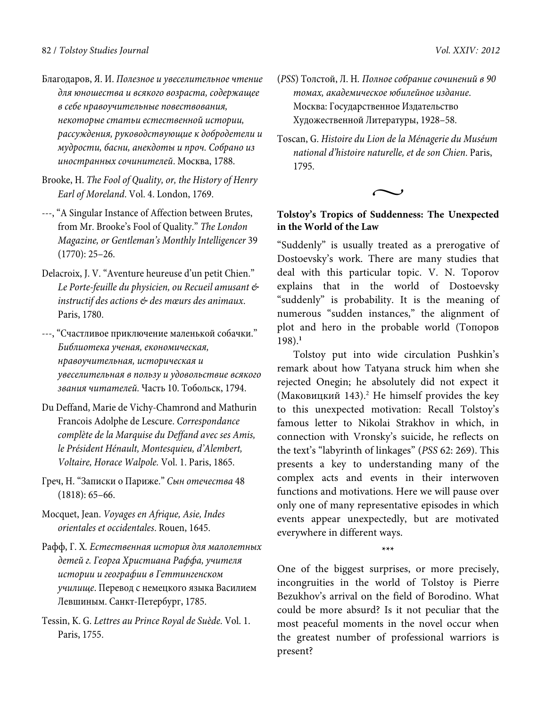- Благодаров, Я. И. *Полезное и увеселительное чтение для юношества и всякого возраста, содержащее в себе нравоучительные повествования, некоторые статьи естественной истории, рассуждения, руководствующие к добродетели и мудрости, басни, анекдоты и проч. Собрано из иностранных сочинителей*. Москва, 1788.
- Brooke, H. *The Fool of Quality, or, the History of Henry Earl of Moreland*. Vol. 4. London, 1769.
- ---, "A Singular Instance of Affection between Brutes, from Mr. Brooke's Fool of Quality." *The London Magazine, or Gentleman's Monthly Intelligencer* 39 (1770): 25–26.
- Delacroix, J. V. "Aventure heureuse d'un petit Chien." *Le Porte-feuille du physicien, ou Recueil amusant & instructif des actions & des mœurs des animaux*. Paris, 1780.
- ---, "Счастливое приключение маленькой собачки." *Библиотека ученая, економическая, нравоучительная, историческая и увеселительная в пользу и удовольствие всякого звания читателей.* Часть 10. Тобольск, 1794.
- Du Deffand, Marie de Vichy-Chamrond and Mathurin Francois Adolphe de Lescure. *Correspondance complète de la Marquise du Deffand avec ses Amis, le Président Hénault, Montesquieu, d'Alembert, Voltaire, Horace Walpole.* Vol. 1. Paris, 1865.
- Греч, Н. "Записки о Париже." *Сын отечества* 48 (1818): 65–66.
- Mocquet, Jean. *Voyages en Afrique, Asie, Indes orientales et occidentales*. Rouen, 1645.
- Рафф, Г. X*. Естественная история для малолетных детей г. Георга Христиана Раффа, учителя истории и географии в Геттингенском училище*. Перевод с немецкого языка Василием Левшиным. Санкт-Петербург, 1785.
- Tessin, K. G. *Lettres au Prince Royal de Suède*. Vol. 1. Paris, 1755.
- (*PSS*) Толстой, Л. Н*. Полное собрание сочинений в 90 томах, академическое юбилейное издание*. Москва: Государственное Издательство Художественной Литературы, 1928–58.
- Toscan, G. *Histoire du Lion de la Ménagerie du Muséum national d'histoire naturelle, et de son Chien*. Paris, 1795.

 $\sim$ 

# **Tolstoy's Tropics of Suddenness: The Unexpected in the World of the Law**

"Suddenly" is usually treated as a prerogative of Dostoevsky's work. There are many studies that deal with this particular topic. V. N. Toporov explains that in the world of Dostoevsky "suddenly" is probability. It is the meaning of numerous "sudden instances," the alignment of plot and hero in the probable world (Топоров 198).**<sup>1</sup>**

Tolstoy put into wide circulation Pushkin's remark about how Tatyana struck him when she rejected Onegin; he absolutely did not expect it (Маковицкий 143).<sup>2</sup> He himself provides the key to this unexpected motivation: Recall Tolstoy's famous letter to Nikolai Strakhov in which, in connection with Vronsky's suicide, he reflects on the text's "labyrinth of linkages" (*PSS* 62: 269). This presents a key to understanding many of the complex acts and events in their interwoven functions and motivations. Here we will pause over only one of many representative episodes in which events appear unexpectedly, but are motivated everywhere in different ways.

**\*\*\*** 

One of the biggest surprises, or more precisely, incongruities in the world of Tolstoy is Pierre Bezukhov's arrival on the field of Borodino. What could be more absurd? Is it not peculiar that the most peaceful moments in the novel occur when the greatest number of professional warriors is present?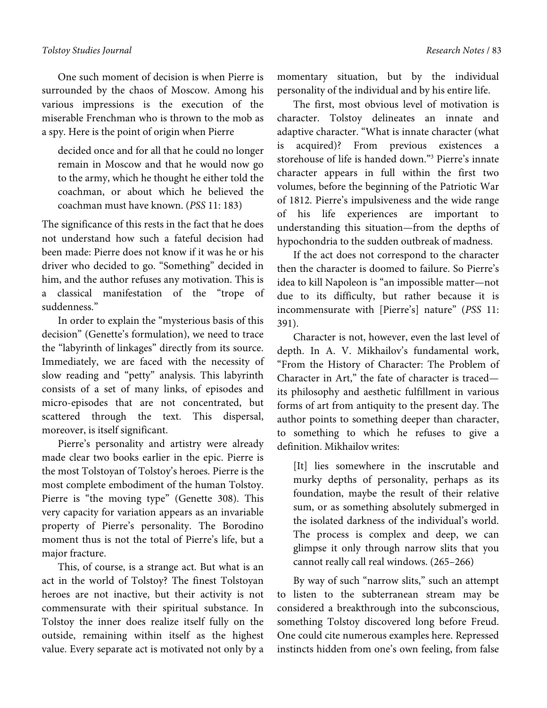### *Tolstoy Studies Journal Research Notes* / 83

One such moment of decision is when Pierre is surrounded by the chaos of Moscow. Among his various impressions is the execution of the miserable Frenchman who is thrown to the mob as a spy. Here is the point of origin when Pierre

decided once and for all that he could no longer remain in Moscow and that he would now go to the army, which he thought he either told the coachman, or about which he believed the coachman must have known. (*PSS* 11: 183)

The significance of this rests in the fact that he does not understand how such a fateful decision had been made: Pierre does not know if it was he or his driver who decided to go. "Something" decided in him, and the author refuses any motivation. This is a classical manifestation of the "trope of suddenness."

In order to explain the "mysterious basis of this decision" (Genette's formulation), we need to trace the "labyrinth of linkages" directly from its source. Immediately, we are faced with the necessity of slow reading and "petty" analysis. This labyrinth consists of a set of many links, of episodes and micro-episodes that are not concentrated, but scattered through the text. This dispersal, moreover, is itself significant.

Pierre's personality and artistry were already made clear two books earlier in the epic. Pierre is the most Tolstoyan of Tolstoy's heroes. Pierre is the most complete embodiment of the human Tolstoy. Pierre is "the moving type" (Genette 308). This very capacity for variation appears as an invariable property of Pierre's personality. The Borodino moment thus is not the total of Pierre's life, but a major fracture.

This, of course, is a strange act. But what is an act in the world of Tolstoy? The finest Tolstoyan heroes are not inactive, but their activity is not commensurate with their spiritual substance. In Tolstoy the inner does realize itself fully on the outside, remaining within itself as the highest value. Every separate act is motivated not only by a

momentary situation, but by the individual personality of the individual and by his entire life.

The first, most obvious level of motivation is character. Tolstoy delineates an innate and adaptive character. "What is innate character (what is acquired)? From previous existences a storehouse of life is handed down."3 Pierre's innate character appears in full within the first two volumes, before the beginning of the Patriotic War of 1812. Pierre's impulsiveness and the wide range of his life experiences are important to understanding this situation—from the depths of hypochondria to the sudden outbreak of madness.

If the act does not correspond to the character then the character is doomed to failure. So Pierre's idea to kill Napoleon is "an impossible matter—not due to its difficulty, but rather because it is incommensurate with [Pierre's] nature" (*PSS* 11: 391).

Character is not, however, even the last level of depth. In A. V. Mikhailov's fundamental work, "From the History of Character: The Problem of Character in Art," the fate of character is traced its philosophy and aesthetic fulfillment in various forms of art from antiquity to the present day. The author points to something deeper than character, to something to which he refuses to give a definition. Mikhailov writes:

[It] lies somewhere in the inscrutable and murky depths of personality, perhaps as its foundation, maybe the result of their relative sum, or as something absolutely submerged in the isolated darkness of the individual's world. The process is complex and deep, we can glimpse it only through narrow slits that you cannot really call real windows. (265–266)

By way of such "narrow slits," such an attempt to listen to the subterranean stream may be considered a breakthrough into the subconscious, something Tolstoy discovered long before Freud. One could cite numerous examples here. Repressed instincts hidden from one's own feeling, from false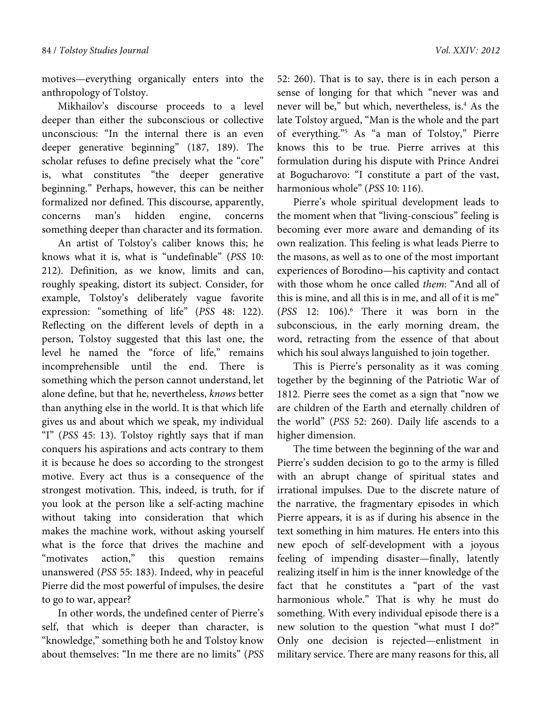motives—everything organically enters into the anthropology of Tolstoy.

Mikhailov's discourse proceeds to a level deeper than either the subconscious or collective unconscious: "In the internal there is an even deeper generative beginning" (187, 189). The scholar refuses to define precisely what the "core" is, what constitutes "the deeper generative beginning." Perhaps, however, this can be neither formalized nor defined. This discourse, apparently, concerns man's hidden engine, concerns something deeper than character and its formation.

An artist of Tolstoy's caliber knows this; he knows what it is, what is "undefinable" (*PSS* 10: 212). Definition, as we know, limits and can, roughly speaking, distort its subject. Consider, for example, Tolstoy's deliberately vague favorite expression: "something of life" (*PSS* 48: 122). Reflecting on the different levels of depth in a person, Tolstoy suggested that this last one, the level he named the "force of life," remains incomprehensible until the end. There is something which the person cannot understand, let alone define, but that he, nevertheless, *knows* better than anything else in the world. It is that which life gives us and about which we speak, my individual "I" (*PSS* 45: 13). Tolstoy rightly says that if man conquers his aspirations and acts contrary to them it is because he does so according to the strongest motive. Every act thus is a consequence of the strongest motivation. This, indeed, is truth, for if you look at the person like a self-acting machine without taking into consideration that which makes the machine work, without asking yourself what is the force that drives the machine and "motivates action," this question remains unanswered (*PSS* 55: 183). Indeed, why in peaceful Pierre did the most powerful of impulses, the desire to go to war, appear?

In other words, the undefined center of Pierre's self, that which is deeper than character, is "knowledge," something both he and Tolstoy know about themselves: "In me there are no limits" (*PSS*  52: 260). That is to say, there is in each person a sense of longing for that which "never was and never will be," but which, nevertheless, is.<sup>4</sup> As the late Tolstoy argued, "Man is the whole and the part of everything."5 As "a man of Tolstoy," Pierre knows this to be true. Pierre arrives at this formulation during his dispute with Prince Andrei at Bogucharovo: "I constitute a part of the vast, harmonious whole" (*PSS* 10: 116).

Pierre's whole spiritual development leads to the moment when that "living-conscious" feeling is becoming ever more aware and demanding of its own realization. This feeling is what leads Pierre to the masons, as well as to one of the most important experiences of Borodino—his captivity and contact with those whom he once called *them*: "And all of this is mine, and all this is in me, and all of it is me" (*PSS* 12: 106).6 There it was born in the subconscious, in the early morning dream, the word, retracting from the essence of that about which his soul always languished to join together.

This is Pierre's personality as it was coming together by the beginning of the Patriotic War of 1812. Pierre sees the comet as a sign that "now we are children of the Earth and eternally children of the world" (*PSS* 52: 260). Daily life ascends to a higher dimension.

The time between the beginning of the war and Pierre's sudden decision to go to the army is filled with an abrupt change of spiritual states and irrational impulses. Due to the discrete nature of the narrative, the fragmentary episodes in which Pierre appears, it is as if during his absence in the text something in him matures. He enters into this new epoch of self-development with a joyous feeling of impending disaster—finally, latently realizing itself in him is the inner knowledge of the fact that he constitutes a "part of the vast harmonious whole." That is why he must do something. With every individual episode there is a new solution to the question "what must I do?" Only one decision is rejected—enlistment in military service. There are many reasons for this, all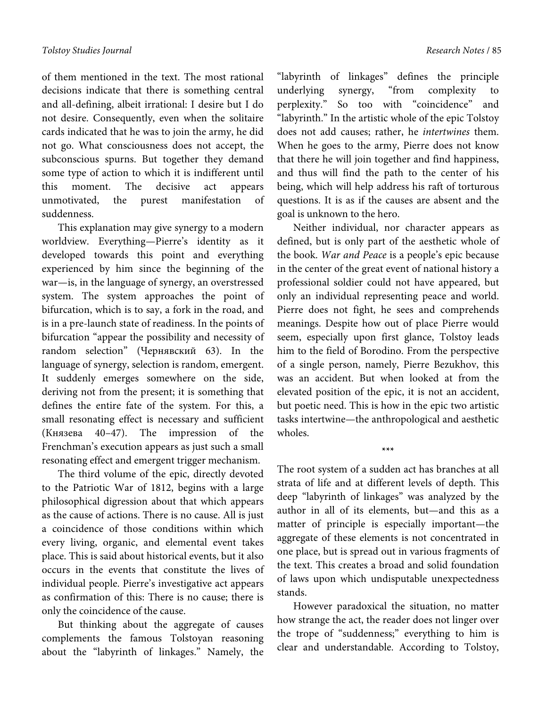of them mentioned in the text. The most rational decisions indicate that there is something central and all-defining, albeit irrational: I desire but I do not desire. Consequently, even when the solitaire cards indicated that he was to join the army, he did not go. What consciousness does not accept, the subconscious spurns. But together they demand some type of action to which it is indifferent until this moment. The decisive act appears unmotivated, the purest manifestation of suddenness.

This explanation may give synergy to a modern worldview. Everything—Pierre's identity as it developed towards this point and everything experienced by him since the beginning of the war—is, in the language of synergy, an overstressed system. The system approaches the point of bifurcation, which is to say, a fork in the road, and is in a pre-launch state of readiness. In the points of bifurcation "appear the possibility and necessity of random selection" (Чернявский 63). In the language of synergy, selection is random, emergent. It suddenly emerges somewhere on the side, deriving not from the present; it is something that defines the entire fate of the system. For this, a small resonating effect is necessary and sufficient (Князева 40–47). The impression of the Frenchman's execution appears as just such a small resonating effect and emergent trigger mechanism.

The third volume of the epic, directly devoted to the Patriotic War of 1812, begins with a large philosophical digression about that which appears as the cause of actions. There is no cause. All is just a coincidence of those conditions within which every living, organic, and elemental event takes place. This is said about historical events, but it also occurs in the events that constitute the lives of individual people. Pierre's investigative act appears as confirmation of this: There is no cause; there is only the coincidence of the cause.

But thinking about the aggregate of causes complements the famous Tolstoyan reasoning about the "labyrinth of linkages." Namely, the "labyrinth of linkages" defines the principle underlying synergy, "from complexity to perplexity." So too with "coincidence" and "labyrinth." In the artistic whole of the epic Tolstoy does not add causes; rather, he *intertwines* them. When he goes to the army, Pierre does not know that there he will join together and find happiness, and thus will find the path to the center of his being, which will help address his raft of torturous questions. It is as if the causes are absent and the goal is unknown to the hero.

Neither individual, nor character appears as defined, but is only part of the aesthetic whole of the book. *War and Peace* is a people's epic because in the center of the great event of national history a professional soldier could not have appeared, but only an individual representing peace and world. Pierre does not fight, he sees and comprehends meanings. Despite how out of place Pierre would seem, especially upon first glance, Tolstoy leads him to the field of Borodino. From the perspective of a single person, namely, Pierre Bezukhov, this was an accident. But when looked at from the elevated position of the epic, it is not an accident, but poetic need. This is how in the epic two artistic tasks intertwine—the anthropological and aesthetic wholes.

The root system of a sudden act has branches at all strata of life and at different levels of depth. This deep "labyrinth of linkages" was analyzed by the author in all of its elements, but—and this as a matter of principle is especially important—the aggregate of these elements is not concentrated in one place, but is spread out in various fragments of the text. This creates a broad and solid foundation of laws upon which undisputable unexpectedness stands.

**\*\*\*** 

However paradoxical the situation, no matter how strange the act, the reader does not linger over the trope of "suddenness;" everything to him is clear and understandable. According to Tolstoy,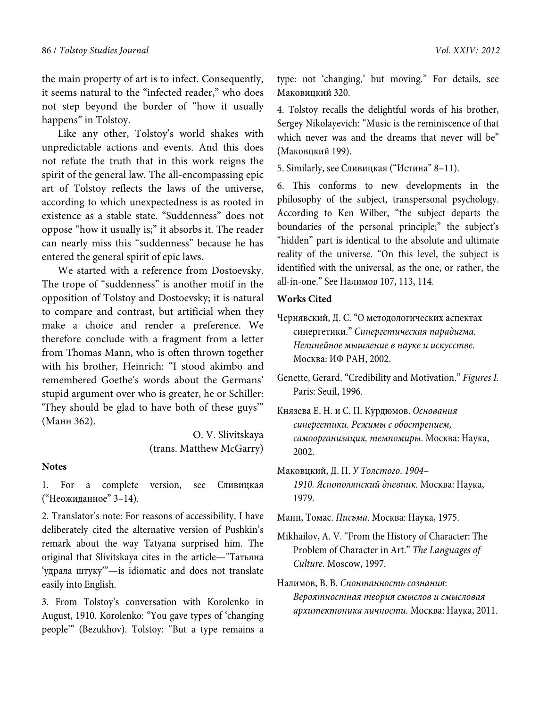the main property of art is to infect. Consequently, it seems natural to the "infected reader," who does not step beyond the border of "how it usually happens" in Tolstoy.

Like any other, Tolstoy's world shakes with unpredictable actions and events. And this does not refute the truth that in this work reigns the spirit of the general law. The all-encompassing epic art of Tolstoy reflects the laws of the universe, according to which unexpectedness is as rooted in existence as a stable state. "Suddenness" does not oppose "how it usually is;" it absorbs it. The reader can nearly miss this "suddenness" because he has entered the general spirit of epic laws.

We started with a reference from Dostoevsky. The trope of "suddenness" is another motif in the opposition of Tolstoy and Dostoevsky; it is natural to compare and contrast, but artificial when they make a choice and render a preference. We therefore conclude with a fragment from a letter from Thomas Mann, who is often thrown together with his brother, Heinrich: "I stood akimbo and remembered Goethe's words about the Germans' stupid argument over who is greater, he or Schiller: 'They should be glad to have both of these guys'" (Манн 362).

> O. V. Slivitskaya (trans. Matthew McGarry)

# **Notes**

1. For a complete version, see Сливицкая ("Неожиданное" 3–14).

2. Translator's note: For reasons of accessibility, I have deliberately cited the alternative version of Pushkin's remark about the way Tatyana surprised him. The original that Slivitskaya cites in the article—"Татьяна 'удрала штуку'"—is idiomatic and does not translate easily into English.

3. From Tolstoy's conversation with Korolenko in August, 1910. Korolenko: "You gave types of 'changing people'" (Bezukhov). Tolstoy: "But a type remains a type: not 'changing,' but moving." For details, see Маковицкий 320.

4. Tolstoy recalls the delightful words of his brother, Sergey Nikolayevich: "Music is the reminiscence of that which never was and the dreams that never will be" (Маковцкий 199).

5. Similarly, see Сливицкая ("Истина" 8–11).

6. This conforms to new developments in the philosophy of the subject, transpersonal psychology. According to Ken Wilber, "the subject departs the boundaries of the personal principle;" the subject's "hidden" part is identical to the absolute and ultimate reality of the universe. "On this level, the subject is identified with the universal, as the one, or rather, the all-in-one." See Налимов 107, 113, 114.

#### **Works Cited**

- Чернявский, Д. С. "О методологических аспектах синергетики." *Синергетическая парадигма. Нелинейное мышление в науке и искусстве.*  Москва: ИФ РАН, 2002.
- Genette, Gerard. "Credibility and Motivation." *Figures I.*  Paris: Seuil, 1996.
- Князева Е. Н. и С. П. Курдюмов. *Основания синергетики. Режимы с обострением, самоорганизация, темпомиры*. Москва: Наука, 2002.
- Маковцкий, Д. П. *У Толстого*. *1904– 1910. Яснополянский дневник.* Москва: Наука, 1979.

Манн, Томас. *Письма*. Москва: Наука, 1975.

- Mikhailov, A. V. "From the History of Character: The Problem of Character in Art." *The Languages of Culture.* Moscow, 1997.
- Налимов, В. В. *Спонтанность сознания*: *Вероятностная теория смыслов и смысловая архитектоника личности.* Москва: Наука, 2011.